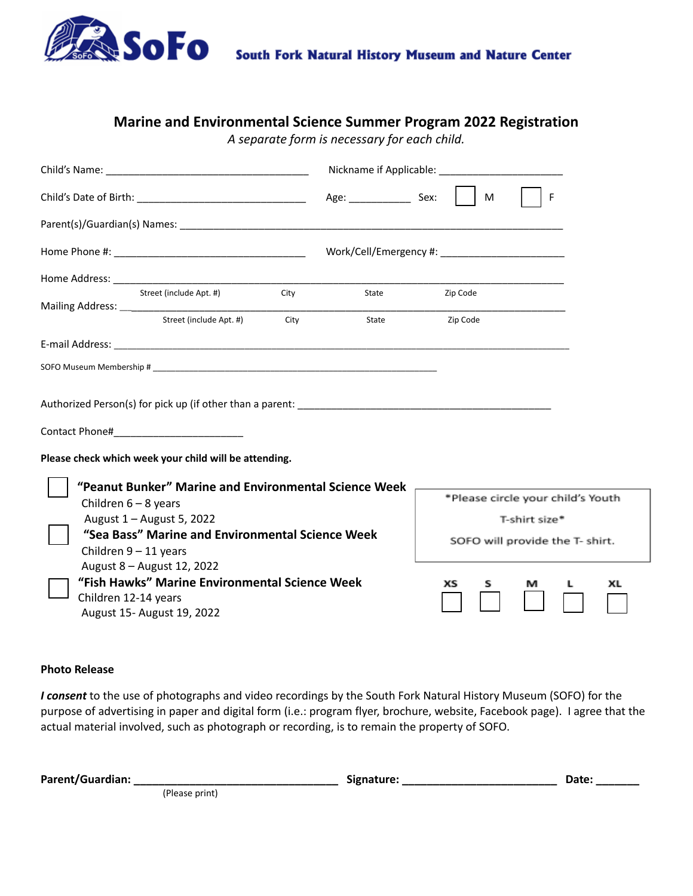

### **Marine and Environmental Science Summer Program 2022 Registration**

*A separate form is necessary for each child.*

|                                                                                                                                    |      |                        |          | M  |               | F                                 |    |
|------------------------------------------------------------------------------------------------------------------------------------|------|------------------------|----------|----|---------------|-----------------------------------|----|
|                                                                                                                                    |      |                        |          |    |               |                                   |    |
|                                                                                                                                    |      | Work/Cell/Emergency #: |          |    |               |                                   |    |
|                                                                                                                                    |      |                        |          |    |               |                                   |    |
| Street (include Apt. #)                                                                                                            | City | State                  | Zip Code |    |               |                                   |    |
| Street (include Apt. #)                                                                                                            | City | State                  | Zip Code |    |               |                                   |    |
|                                                                                                                                    |      |                        |          |    |               |                                   |    |
|                                                                                                                                    |      |                        |          |    |               |                                   |    |
| Please check which week your child will be attending.                                                                              |      |                        |          |    |               |                                   |    |
| "Peanut Bunker" Marine and Environmental Science Week<br>Children $6 - 8$ years                                                    |      |                        |          |    |               | *Please circle your child's Youth |    |
| August 1 - August 5, 2022                                                                                                          |      |                        |          |    | T-shirt size* |                                   |    |
| "Sea Bass" Marine and Environmental Science Week<br>Children $9 - 11$ years                                                        |      |                        |          |    |               | SOFO will provide the T- shirt.   |    |
| August 8 - August 12, 2022<br>"Fish Hawks" Marine Environmental Science Week<br>Children 12-14 years<br>August 15- August 19, 2022 |      |                        | хs       | s. | м             | L                                 | ХL |

#### **Photo Release**

*I consent* to the use of photographs and video recordings by the South Fork Natural History Museum (SOFO) for the purpose of advertising in paper and digital form (i.e.: program flyer, brochure, website, Facebook page). I agree that the actual material involved, such as photograph or recording, is to remain the property of SOFO.

| Parent/Guardian: |                | Signature: | Date: |
|------------------|----------------|------------|-------|
|                  | 'Please print) |            |       |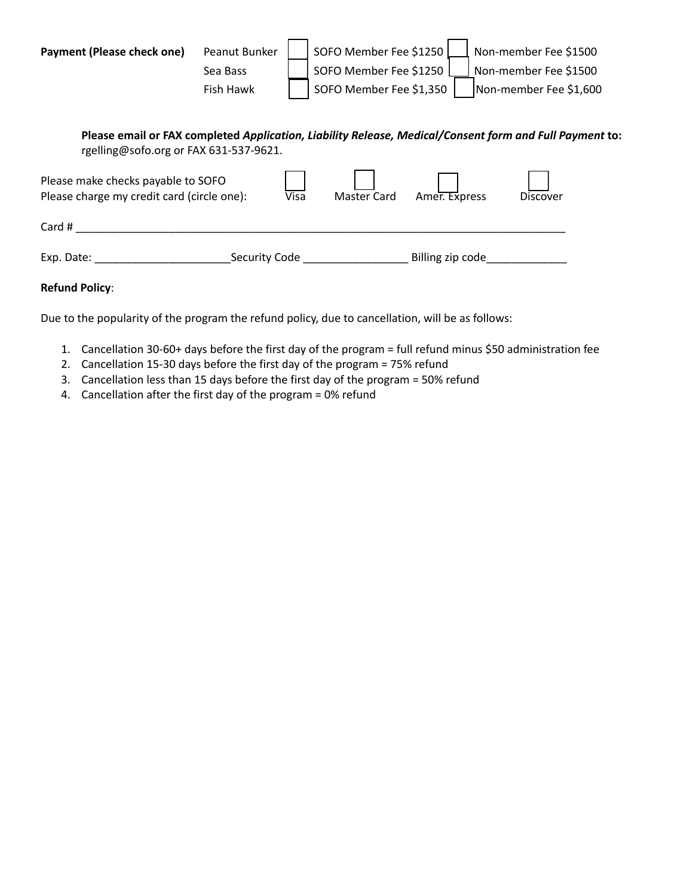| Payment (Please check one)                                                                                     | Peanut Bunker |                   | SOFO Member Fee \$1250             |                  | Non-member Fee \$1500                                                                                   |
|----------------------------------------------------------------------------------------------------------------|---------------|-------------------|------------------------------------|------------------|---------------------------------------------------------------------------------------------------------|
|                                                                                                                | Sea Bass      |                   | SOFO Member Fee \$1250             |                  | Non-member Fee \$1500                                                                                   |
|                                                                                                                | Fish Hawk     |                   | SOFO Member Fee \$1,350            |                  | Non-member Fee \$1,600                                                                                  |
|                                                                                                                |               |                   |                                    |                  |                                                                                                         |
| rgelling@sofo.org or FAX 631-537-9621.                                                                         |               |                   |                                    |                  | Please email or FAX completed Application, Liability Release, Medical/Consent form and Full Payment to: |
| Please make checks payable to SOFO<br>Please charge my credit card (circle one):                               |               | $\overline{Visa}$ | <b>Master Card</b>                 | Amer. Express    | <b>Discover</b>                                                                                         |
| Card #                                                                                                         |               |                   |                                    |                  |                                                                                                         |
| Exp. Date: the contract of the contract of the contract of the contract of the contract of the contract of the |               |                   | Security Code <b>Security</b> Code | Billing zip code |                                                                                                         |
| <b>Refund Policy:</b>                                                                                          |               |                   |                                    |                  |                                                                                                         |

Due to the popularity of the program the refund policy, due to cancellation, will be as follows:

- 1. Cancellation 30-60+ days before the first day of the program = full refund minus \$50 administration fee
- 2. Cancellation 15-30 days before the first day of the program = 75% refund
- 3. Cancellation less than 15 days before the first day of the program = 50% refund
- 4. Cancellation after the first day of the program = 0% refund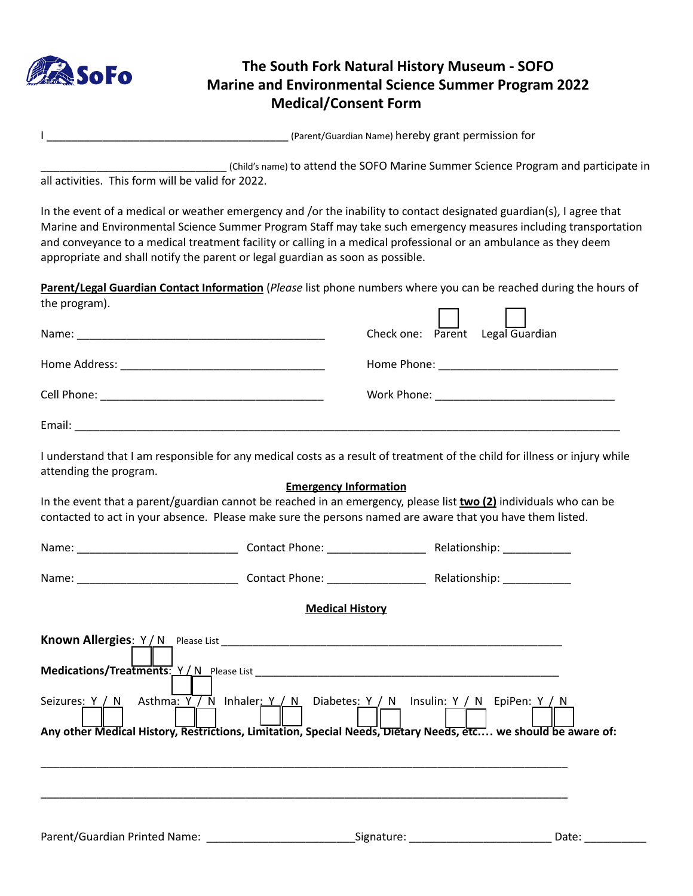

# **The South Fork Natural History Museum - SOFO Marine and Environmental Science Summer Program 2022 Medical/Consent Form**

|  | (Parent/Guardian Name) hereby grant permission for |
|--|----------------------------------------------------|
|--|----------------------------------------------------|

\_\_\_\_\_\_\_\_\_\_\_\_\_\_\_\_\_\_\_\_\_\_\_\_\_\_\_\_\_\_ (Child's name) to attend the SOFO Marine Summer Science Program and participate in all activities. This form will be valid for 2022.

In the event of a medical or weather emergency and /or the inability to contact designated guardian(s), I agree that Marine and Environmental Science Summer Program Staff may take such emergency measures including transportation and conveyance to a medical treatment facility or calling in a medical professional or an ambulance as they deem appropriate and shall notify the parent or legal guardian as soon as possible.

**Parent/Legal Guardian Contact Information** (*Please* list phone numbers where you can be reached during the hours of the program).

| Name:<br><u> 2000 - 2000 - 2000 - 2000 - 2000 - 2000 - 2000 - 2000 - 2000 - 2000 - 2000 - 2000 - 2000 - 2000 - 2000 - 200</u> | Check one: Parent Legal Guardian |
|-------------------------------------------------------------------------------------------------------------------------------|----------------------------------|
|                                                                                                                               |                                  |
|                                                                                                                               |                                  |
| Email:                                                                                                                        |                                  |

I understand that I am responsible for any medical costs as a result of treatment of the child for illness or injury while attending the program.

#### **Emergency Information**

In the event that a parent/guardian cannot be reached in an emergency, please list **two (2)** individuals who can be contacted to act in your absence. Please make sure the persons named are aware that you have them listed.

|                                                                                                                                                                                                            | Contact Phone: _________________ | Relationship: 1999 |
|------------------------------------------------------------------------------------------------------------------------------------------------------------------------------------------------------------|----------------------------------|--------------------|
|                                                                                                                                                                                                            |                                  |                    |
|                                                                                                                                                                                                            | <b>Medical History</b>           |                    |
| Seizures: Y / N Asthma: Y / N Inhaler: Y / N Diabetes: Y / N Insulin: Y / N EpiPen: Y / N<br>Any other Medical History, Restrictions, Limitation, Special Needs, Dietary Needs, etc we should be aware of: |                                  |                    |
|                                                                                                                                                                                                            |                                  | Date:              |